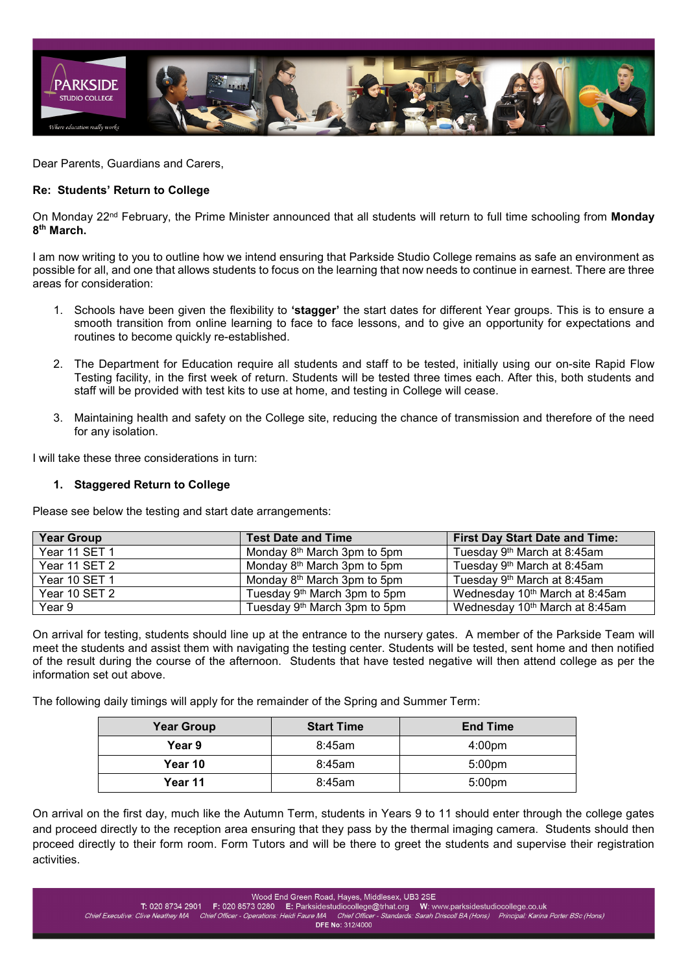

Dear Parents, Guardians and Carers,

### **Re: Students' Return to College**

On Monday 22nd February, the Prime Minister announced that all students will return to full time schooling from **Monday 8th March.** 

I am now writing to you to outline how we intend ensuring that Parkside Studio College remains as safe an environment as possible for all, and one that allows students to focus on the learning that now needs to continue in earnest. There are three areas for consideration:

- 1. Schools have been given the flexibility to **'stagger'** the start dates for different Year groups. This is to ensure a smooth transition from online learning to face to face lessons, and to give an opportunity for expectations and routines to become quickly re-established.
- 2. The Department for Education require all students and staff to be tested, initially using our on-site Rapid Flow Testing facility, in the first week of return. Students will be tested three times each. After this, both students and staff will be provided with test kits to use at home, and testing in College will cease.
- 3. Maintaining health and safety on the College site, reducing the chance of transmission and therefore of the need for any isolation.

I will take these three considerations in turn:

### **1. Staggered Return to College**

Please see below the testing and start date arrangements:

| <b>Year Group</b> | <b>Test Date and Time</b>                | <b>First Day Start Date and Time:</b>      |
|-------------------|------------------------------------------|--------------------------------------------|
| Year 11 SET 1     | Monday 8 <sup>th</sup> March 3pm to 5pm  | Tuesday 9 <sup>th</sup> March at 8:45am    |
| Year 11 SET 2     | Monday 8 <sup>th</sup> March 3pm to 5pm  | Tuesday 9 <sup>th</sup> March at 8:45am    |
| Year 10 SET 1     | Monday 8 <sup>th</sup> March 3pm to 5pm  | Tuesday 9 <sup>th</sup> March at 8:45am    |
| Year 10 SET 2     | Tuesday 9 <sup>th</sup> March 3pm to 5pm | Wednesday 10 <sup>th</sup> March at 8:45am |
| Year 9            | Tuesday 9 <sup>th</sup> March 3pm to 5pm | Wednesday 10 <sup>th</sup> March at 8:45am |

On arrival for testing, students should line up at the entrance to the nursery gates. A member of the Parkside Team will meet the students and assist them with navigating the testing center. Students will be tested, sent home and then notified of the result during the course of the afternoon. Students that have tested negative will then attend college as per the information set out above.

The following daily timings will apply for the remainder of the Spring and Summer Term:

| <b>Year Group</b> | <b>Start Time</b> | <b>End Time</b>    |
|-------------------|-------------------|--------------------|
| Year 9            | 8:45am            | 4:00 <sub>pm</sub> |
| Year 10           | 8:45am            | 5:00 <sub>pm</sub> |
| Year 11           | $8:45$ am         | 5:00 <sub>pm</sub> |

On arrival on the first day, much like the Autumn Term, students in Years 9 to 11 should enter through the college gates and proceed directly to the reception area ensuring that they pass by the thermal imaging camera. Students should then proceed directly to their form room. Form Tutors and will be there to greet the students and supervise their registration activities.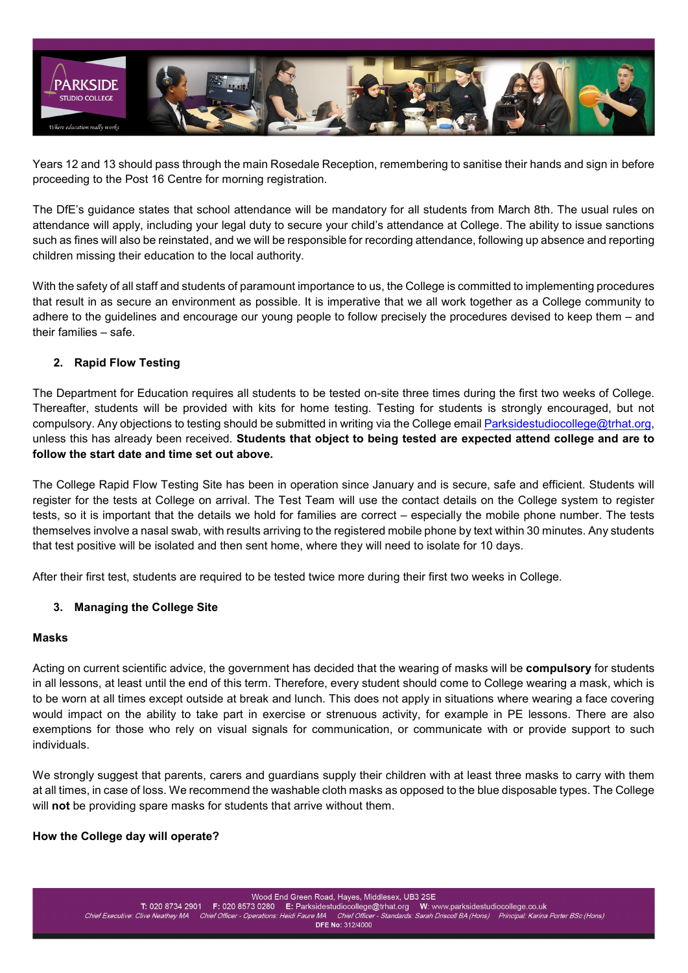

Years 12 and 13 should pass through the main Rosedale Reception, remembering to sanitise their hands and sign in before proceeding to the Post 16 Centre for morning registration.

The DfE's guidance states that school attendance will be mandatory for all students from March 8th. The usual rules on attendance will apply, including your legal duty to secure your child's attendance at College. The ability to issue sanctions such as fines will also be reinstated, and we will be responsible for recording attendance, following up absence and reporting children missing their education to the local authority.

With the safety of all staff and students of paramount importance to us, the College is committed to implementing procedures that result in as secure an environment as possible. It is imperative that we all work together as a College community to adhere to the guidelines and encourage our young people to follow precisely the procedures devised to keep them – and their families – safe.

# **2. Rapid Flow Testing**

The Department for Education requires all students to be tested on-site three times during the first two weeks of College. Thereafter, students will be provided with kits for home testing. Testing for students is strongly encouraged, but not compulsory. Any objections to testing should be submitted in writing via the College emai[l Parksidestudiocollege@trhat.org,](file://ROS-FILE01/StaffHome$/KPorter/Desktop/Parksidestudiocollege@trhat.org) unless this has already been received. **Students that object to being tested are expected attend college and are to follow the start date and time set out above.**

The College Rapid Flow Testing Site has been in operation since January and is secure, safe and efficient. Students will register for the tests at College on arrival. The Test Team will use the contact details on the College system to register tests, so it is important that the details we hold for families are correct – especially the mobile phone number. The tests themselves involve a nasal swab, with results arriving to the registered mobile phone by text within 30 minutes. Any students that test positive will be isolated and then sent home, where they will need to isolate for 10 days.

After their first test, students are required to be tested twice more during their first two weeks in College.

## **3. Managing the College Site**

## **Masks**

Acting on current scientific advice, the government has decided that the wearing of masks will be **compulsory** for students in all lessons, at least until the end of this term. Therefore, every student should come to College wearing a mask, which is to be worn at all times except outside at break and lunch. This does not apply in situations where wearing a face covering would impact on the ability to take part in exercise or strenuous activity, for example in PE lessons. There are also exemptions for those who rely on visual signals for communication, or communicate with or provide support to such individuals.

We strongly suggest that parents, carers and guardians supply their children with at least three masks to carry with them at all times, in case of loss. We recommend the washable cloth masks as opposed to the blue disposable types. The College will **not** be providing spare masks for students that arrive without them.

## **How the College day will operate?**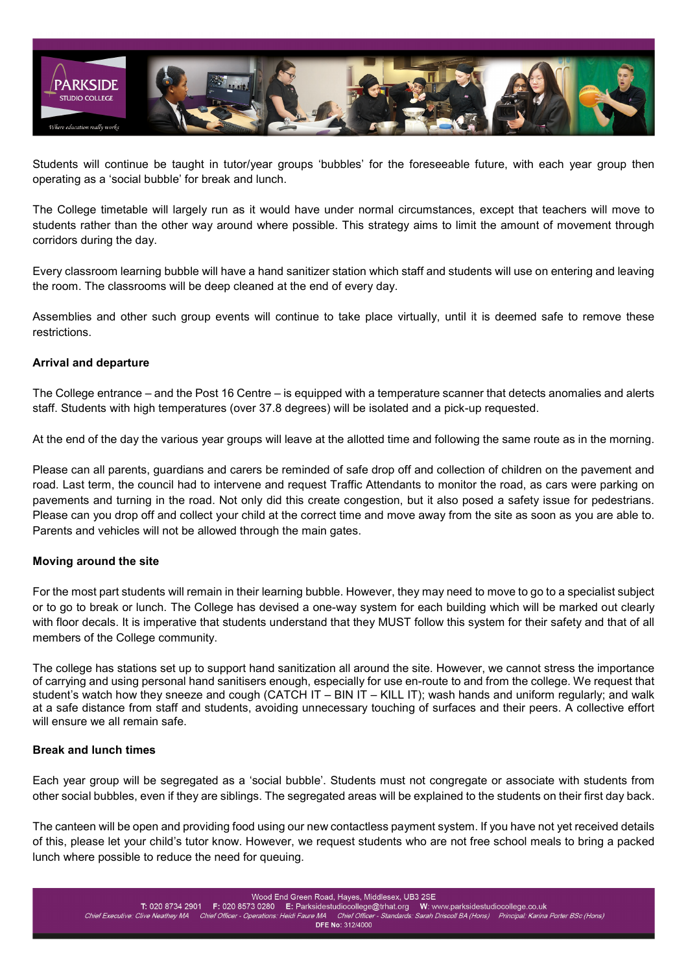

Students will continue be taught in tutor/year groups 'bubbles' for the foreseeable future, with each year group then operating as a 'social bubble' for break and lunch.

The College timetable will largely run as it would have under normal circumstances, except that teachers will move to students rather than the other way around where possible. This strategy aims to limit the amount of movement through corridors during the day.

Every classroom learning bubble will have a hand sanitizer station which staff and students will use on entering and leaving the room. The classrooms will be deep cleaned at the end of every day.

Assemblies and other such group events will continue to take place virtually, until it is deemed safe to remove these restrictions.

### **Arrival and departure**

The College entrance – and the Post 16 Centre – is equipped with a temperature scanner that detects anomalies and alerts staff. Students with high temperatures (over 37.8 degrees) will be isolated and a pick-up requested.

At the end of the day the various year groups will leave at the allotted time and following the same route as in the morning.

Please can all parents, guardians and carers be reminded of safe drop off and collection of children on the pavement and road. Last term, the council had to intervene and request Traffic Attendants to monitor the road, as cars were parking on pavements and turning in the road. Not only did this create congestion, but it also posed a safety issue for pedestrians. Please can you drop off and collect your child at the correct time and move away from the site as soon as you are able to. Parents and vehicles will not be allowed through the main gates.

#### **Moving around the site**

For the most part students will remain in their learning bubble. However, they may need to move to go to a specialist subject or to go to break or lunch. The College has devised a one-way system for each building which will be marked out clearly with floor decals. It is imperative that students understand that they MUST follow this system for their safety and that of all members of the College community.

The college has stations set up to support hand sanitization all around the site. However, we cannot stress the importance of carrying and using personal hand sanitisers enough, especially for use en-route to and from the college. We request that student's watch how they sneeze and cough (CATCH IT – BIN IT – KILL IT); wash hands and uniform regularly; and walk at a safe distance from staff and students, avoiding unnecessary touching of surfaces and their peers. A collective effort will ensure we all remain safe.

#### **Break and lunch times**

Each year group will be segregated as a 'social bubble'. Students must not congregate or associate with students from other social bubbles, even if they are siblings. The segregated areas will be explained to the students on their first day back.

The canteen will be open and providing food using our new contactless payment system. If you have not yet received details of this, please let your child's tutor know. However, we request students who are not free school meals to bring a packed lunch where possible to reduce the need for queuing.